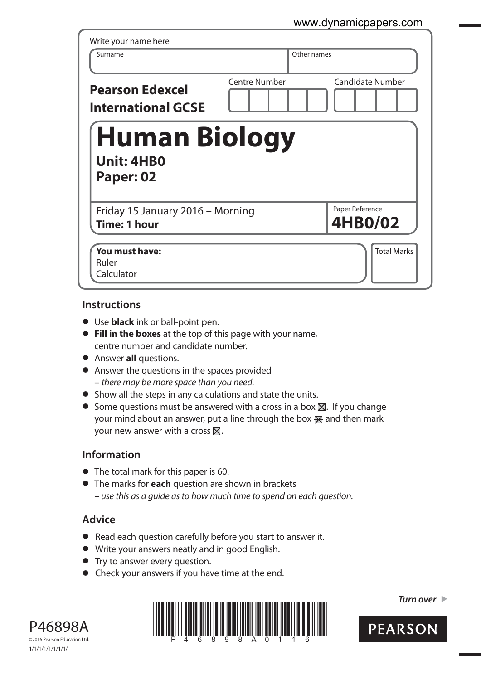# www.dynamicpapers.com

| Surname                                                 | Other names          |                            |
|---------------------------------------------------------|----------------------|----------------------------|
| <b>Pearson Edexcel</b><br><b>International GCSE</b>     | <b>Centre Number</b> | <b>Candidate Number</b>    |
| <b>Human Biology</b><br><b>Unit: 4HB0</b>               |                      |                            |
| Paper: 02                                               |                      |                            |
| Friday 15 January 2016 - Morning<br><b>Time: 1 hour</b> |                      | Paper Reference<br>4HB0/02 |
| You must have:<br>Ruler                                 |                      | <b>Total Marks</b>         |

### **Instructions**

- **•** Use **black** ink or ball-point pen.
- **• Fill in the boxes** at the top of this page with your name, centre number and candidate number.
- **•** Answer **all** questions.
- **•** Answer the questions in the spaces provided – there may be more space than you need.
- **•** Show all the steps in any calculations and state the units.
- Some questions must be answered with a cross in a box  $\boxtimes$ . If you change your mind about an answer, put a line through the box  $\mathbb R$  and then mark your new answer with a cross  $\times$ .

## **Information**

- **•** The total mark for this paper is 60.
- **•** The marks for **each** question are shown in brackets – use this as a guide as to how much time to spend on each question.

# **Advice**

- **•** Read each question carefully before you start to answer it.
- Read each question carefully before you start t<br>• Write your answers neatly and in good English. • Write your answers neatly and in good English.<br>• Try to answer every question.
- 
- **•** Check your answers if you have time at the end.





*Turn over* 

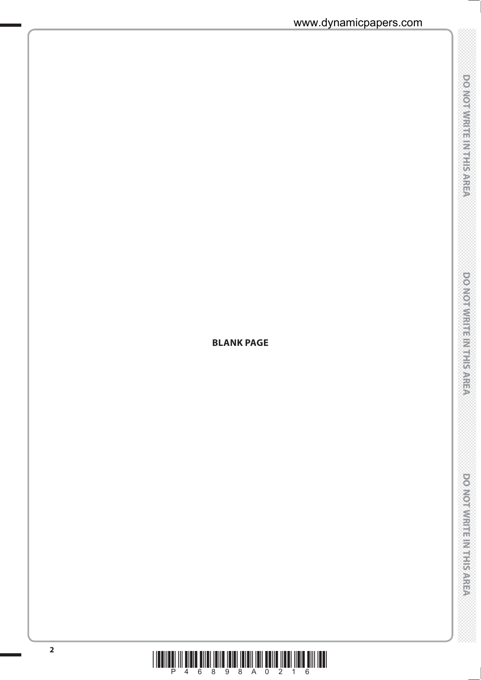# www.dynamicpapers.com



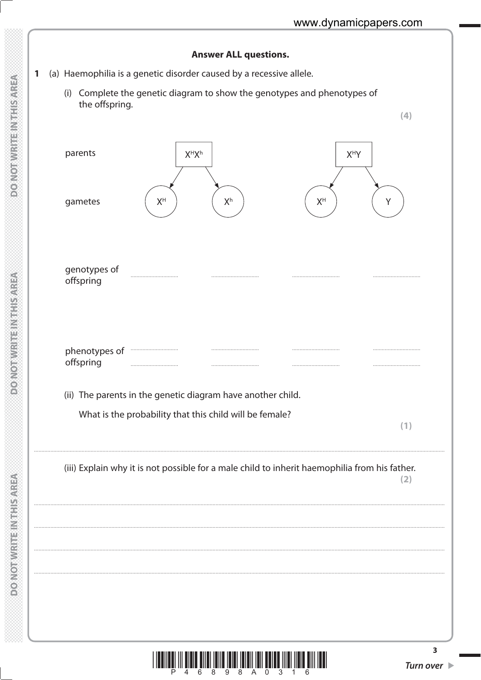#### **Answer ALL questions.**

- (a) Haemophilia is a genetic disorder caused by a recessive allele.
	- (i) Complete the genetic diagram to show the genotypes and phenotypes of the offspring.





 $\overline{\mathbf{3}}$ 

1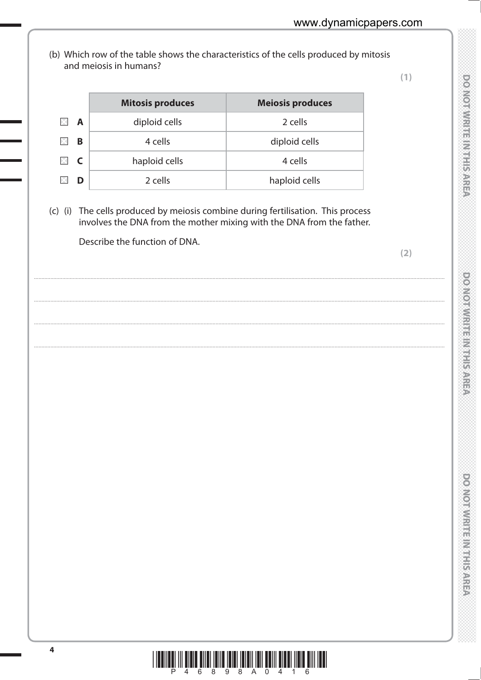(b) Which row of the table shows the characteristics of the cells produced by mitosis and meiosis in humans?

 $(1)$ 

 $(2)$ 

**DONOTWRITE IN THIS AREA** 

powerware with a system

DONOTWRITE IN THIS AREA

|          |              | <b>Mitosis produces</b>       | <b>Meiosis produces</b> |
|----------|--------------|-------------------------------|-------------------------|
| $\times$ | $\mathbf{A}$ | diploid cells                 | 2 cells                 |
| $\times$ | B            | 4 cells                       | diploid cells           |
| $\times$ | $\mathsf C$  | haploid cells                 | 4 cells                 |
| $\times$ | D            | 2 cells                       | haploid cells           |
|          |              | Describe the function of DNA. |                         |
|          |              |                               |                         |
|          |              |                               |                         |
|          |              |                               |                         |
|          |              |                               |                         |
|          |              |                               |                         |
|          |              |                               |                         |
|          |              |                               |                         |
|          |              |                               |                         |
|          |              |                               |                         |
|          |              |                               |                         |
|          |              |                               |                         |
|          |              |                               |                         |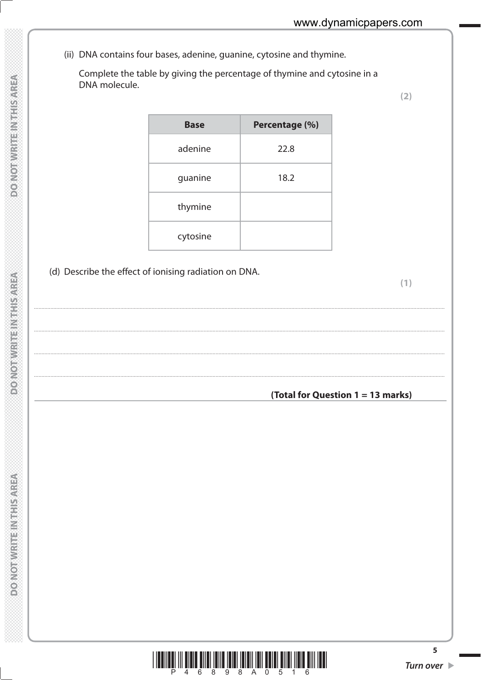(ii) DNA contains four bases, adenine, guanine, cytosine and thymine.

Complete the table by giving the percentage of thymine and cytosine in a DNA molecule.

 $(2)$ 

| <b>Base</b> | Percentage (%) |
|-------------|----------------|
| adenine     | 22.8           |
| guanine     | 18.2           |
| thymine     |                |
| cytosine    |                |

(d) Describe the effect of ionising radiation on DNA.

## (Total for Question 1 = 13 marks)



 $\overline{5}$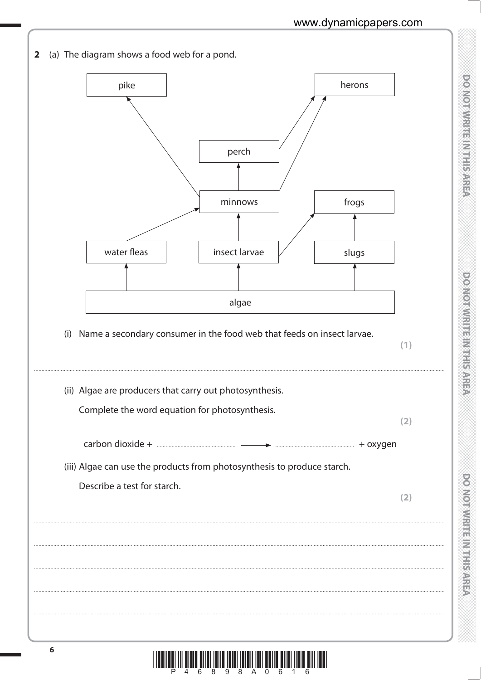2 (a) The diagram shows a food web for a pond. pike herons perch frogs minnows water fleas insect larvae slugs algae (i) Name a secondary consumer in the food web that feeds on insect larvae.  $(1)$ (ii) Algae are producers that carry out photosynthesis. Complete the word equation for photosynthesis.  $(2)$ (iii) Algae can use the products from photosynthesis to produce starch. Describe a test for starch.  $(2)$ 



6

**DOMOTHING IS A RESERVED** 

DO NOT WRITE IN THIS AREA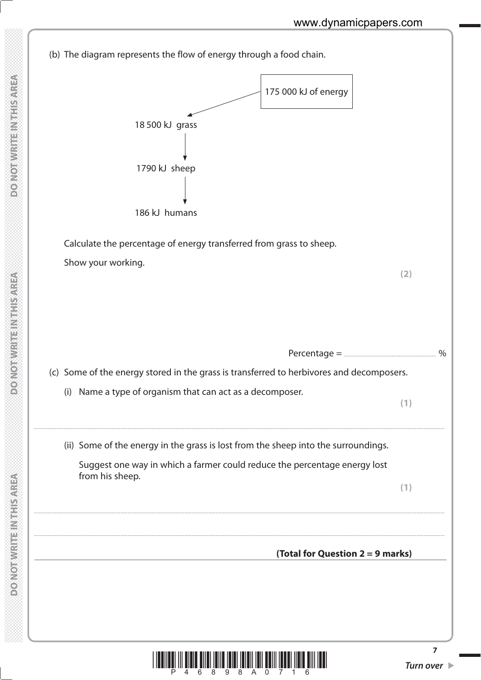

**7**

**PONOTWRITEINITHS/AREA** 

**DONOTHUM STATES NOTE**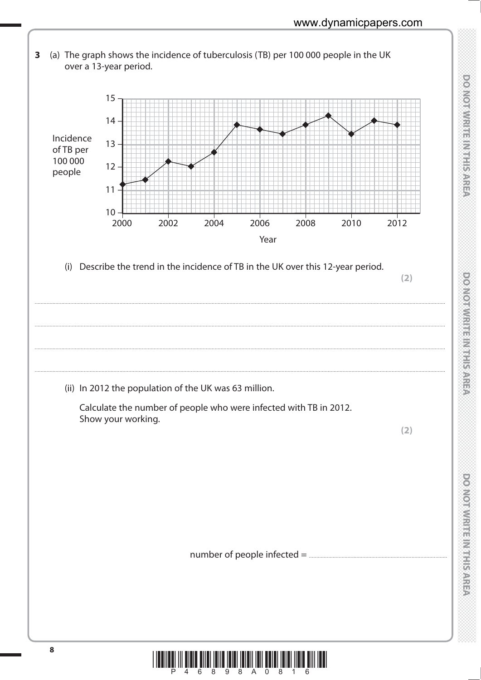

DOMORWATE MATHSWED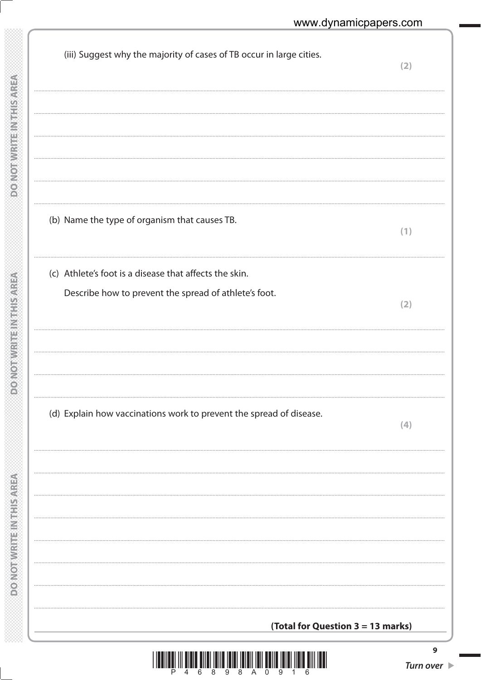| (iii) Suggest why the majority of cases of TB occur in large cities.                                                  | (2) |
|-----------------------------------------------------------------------------------------------------------------------|-----|
|                                                                                                                       |     |
|                                                                                                                       |     |
|                                                                                                                       |     |
| (b) Name the type of organism that causes TB.                                                                         | (1) |
| (c) Athlete's foot is a disease that affects the skin.                                                                |     |
| Describe how to prevent the spread of athlete's foot.                                                                 | (2) |
|                                                                                                                       |     |
|                                                                                                                       |     |
| (d) Explain how vaccinations work to prevent the spread of disease.                                                   | (4) |
|                                                                                                                       |     |
|                                                                                                                       |     |
|                                                                                                                       |     |
|                                                                                                                       |     |
| (Total for Question 3 = 13 marks)                                                                                     |     |
| <u> ANTI ITALIJI ITALIJI ITALIJI ITALIJI ITALIJI ITALIJI ITALIJI ITALIJI ITALIJI ITALIJI ITALIJI ITALIJI ITALIJI </u> |     |

**DO NOT WRITE INTHIS AREA** 

DO NOT WRITEIN THIS AREA

**DO NOTWRITE INTHIS AREA**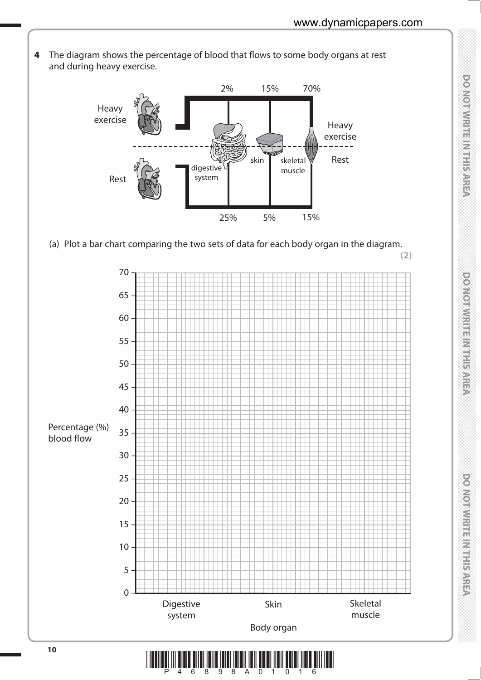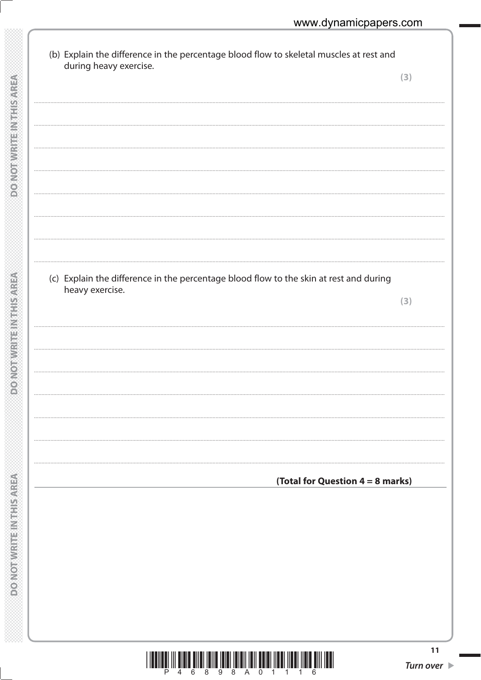| during heavy exercise.                                                                                    | (3) |
|-----------------------------------------------------------------------------------------------------------|-----|
|                                                                                                           |     |
|                                                                                                           |     |
|                                                                                                           |     |
|                                                                                                           |     |
|                                                                                                           |     |
|                                                                                                           |     |
|                                                                                                           |     |
|                                                                                                           |     |
|                                                                                                           |     |
|                                                                                                           |     |
| (c) Explain the difference in the percentage blood flow to the skin at rest and during<br>heavy exercise. |     |
|                                                                                                           | (3) |
|                                                                                                           |     |
|                                                                                                           |     |
|                                                                                                           |     |
|                                                                                                           |     |
|                                                                                                           |     |
|                                                                                                           |     |
|                                                                                                           |     |
|                                                                                                           |     |
| (Total for Question 4 = 8 marks)                                                                          |     |
|                                                                                                           |     |
|                                                                                                           |     |
|                                                                                                           |     |
|                                                                                                           |     |
|                                                                                                           |     |
|                                                                                                           |     |
|                                                                                                           |     |
|                                                                                                           |     |
|                                                                                                           |     |

DO NOTWHITE INTHIS AREA

**ASSISTED METHODS CONCORT** 

**DONOTWRITEIN THIS AREA**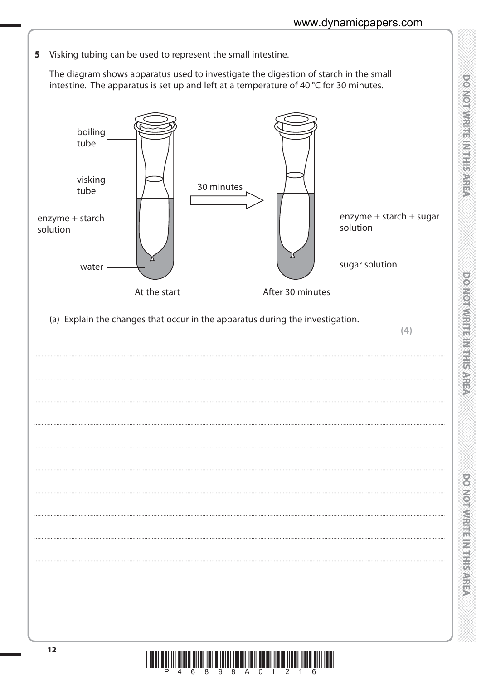Visking tubing can be used to represent the small intestine. 5

The diagram shows apparatus used to investigate the digestion of starch in the small intestine. The apparatus is set up and left at a temperature of 40 °C for 30 minutes.

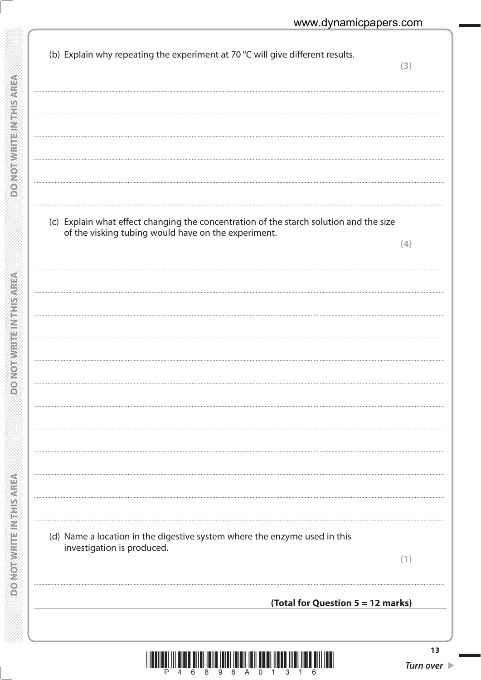| (b) Explain why repeating the experiment at 70 °C will give different results.                                                                | (3) |
|-----------------------------------------------------------------------------------------------------------------------------------------------|-----|
|                                                                                                                                               |     |
|                                                                                                                                               |     |
| (c) Explain what effect changing the concentration of the starch solution and the size<br>of the visking tubing would have on the experiment. |     |
|                                                                                                                                               | (4) |
|                                                                                                                                               |     |
|                                                                                                                                               |     |
|                                                                                                                                               |     |
|                                                                                                                                               |     |
|                                                                                                                                               |     |
|                                                                                                                                               |     |
| (d) Name a location in the digestive system where the enzyme used in this<br>investigation is produced.                                       | (1) |
| (Total for Question 5 = 12 marks)                                                                                                             |     |

Turn over  $\blacktriangleright$ 

**DO NOT WRITE IN THIS AREA**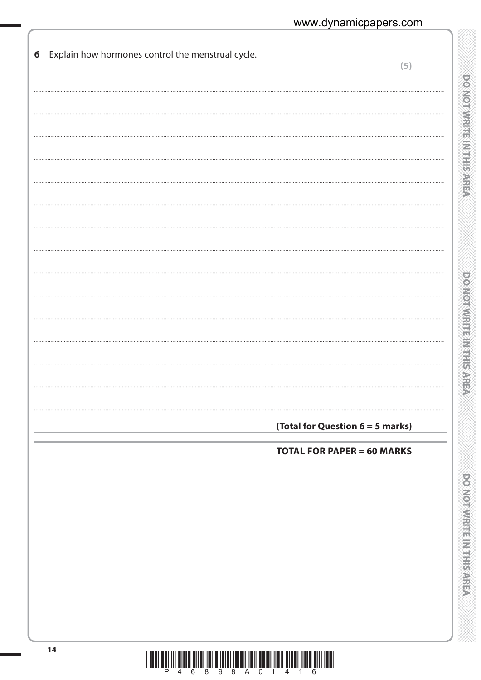DO NOT WRITE IN THIS AREA

**DONOTWRITEINTHIS AREA** 

DO NOT WRITE IN THIS AREA

| 6 Explain how hormones control the menstrual cycle.                   | (5) |
|-----------------------------------------------------------------------|-----|
|                                                                       |     |
|                                                                       |     |
|                                                                       |     |
|                                                                       |     |
|                                                                       |     |
|                                                                       |     |
|                                                                       |     |
|                                                                       |     |
| (Total for Question 6 = 5 marks)<br><b>TOTAL FOR PAPER = 60 MARKS</b> |     |
|                                                                       |     |
|                                                                       |     |
|                                                                       |     |
|                                                                       |     |
|                                                                       |     |

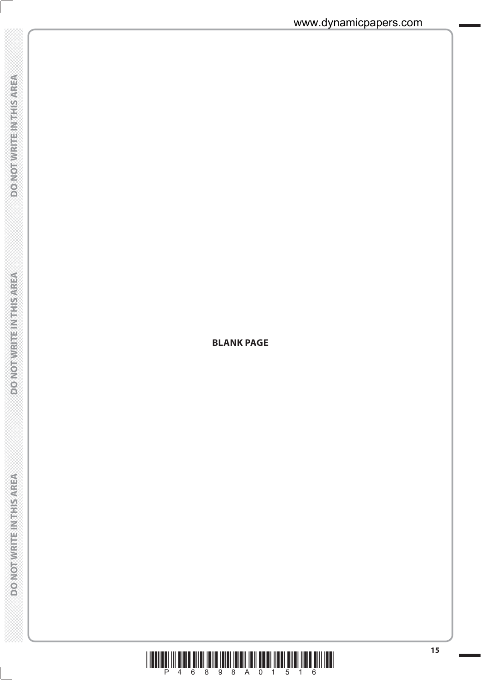**BLANK PAGE**